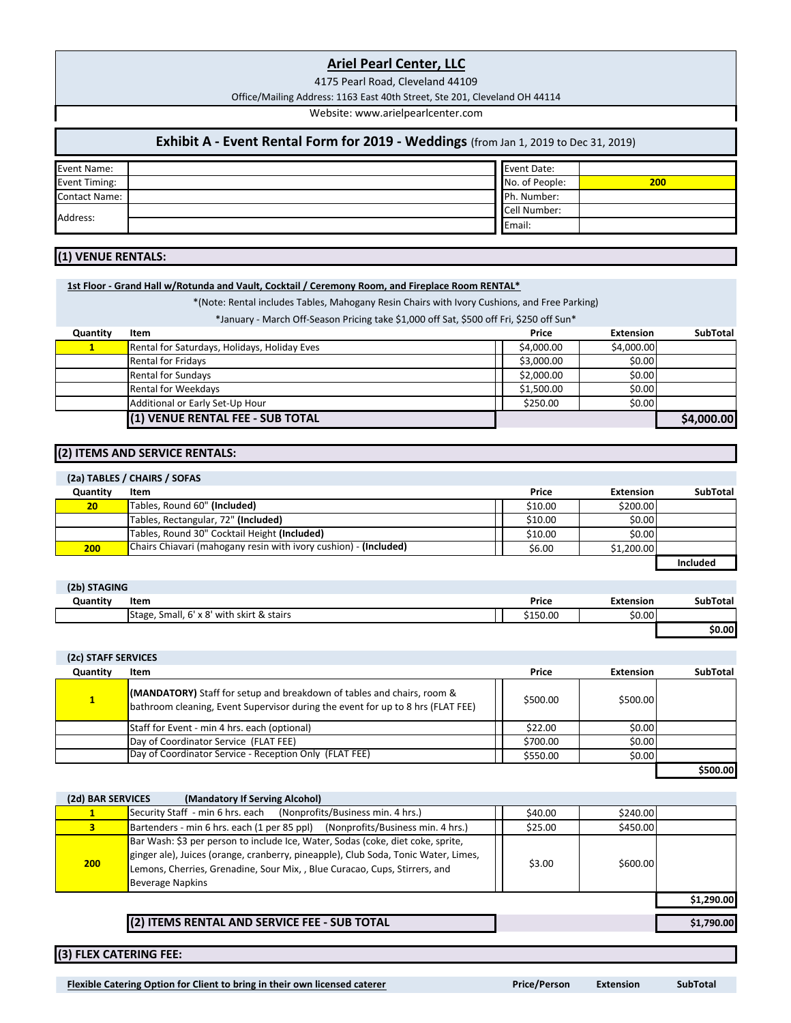# **Ariel Pearl Center, LLC**

4175 Pearl Road, Cleveland 44109

Office/Mailing Address: 1163 East 40th Street, Ste 201, Cleveland OH 44114

Website: www.arielpearlcenter.com

## **Exhibit A - Event Rental Form for 2019 - Weddings** (from Jan 1, 2019 to Dec 31, 2019)

| Event Name:          | Event Date:    |     |
|----------------------|----------------|-----|
| Event Timing:        | No. of People: | 200 |
| <b>Contact Name:</b> | Ph. Number:    |     |
| Address:             | Cell Number:   |     |
|                      | Email:         |     |

## **(1) VENUE RENTALS:**

#### **1st Floor - Grand Hall w/Rotunda and Vault, Cocktail / Ceremony Room, and Fireplace Room RENTAL\***

\*(Note: Rental includes Tables, Mahogany Resin Chairs with Ivory Cushions, and Free Parking)

\*January - March Off-Season Pricing take \$1,000 off Sat, \$500 off Fri, \$250 off Sun\*

| Quantity | Item                                         | Price      | <b>Extension</b> | <b>SubTotal</b> |
|----------|----------------------------------------------|------------|------------------|-----------------|
|          | Rental for Saturdays, Holidays, Holiday Eves | \$4,000.00 | \$4,000.00       |                 |
|          | <b>Rental for Fridays</b>                    | \$3,000.00 | \$0.00           |                 |
|          | <b>Rental for Sundays</b>                    | \$2,000.00 | \$0.00           |                 |
|          | <b>Rental for Weekdays</b>                   | \$1,500.00 | \$0.00           |                 |
|          | Additional or Early Set-Up Hour              | \$250.00   | \$0.00           |                 |
|          | (1) VENUE RENTAL FEE - SUB TOTAL             |            |                  | \$4,000.00      |

## **(2) ITEMS AND SERVICE RENTALS:**

### **(2a) TABLES / CHAIRS / SOFAS**

| Quantitv         | Item                                                             | Price   | <b>Extension</b> | <b>SubTotal</b> |
|------------------|------------------------------------------------------------------|---------|------------------|-----------------|
| 20 <sub>1</sub>  | Tables, Round 60" (Included)                                     | \$10.00 | \$200.00         |                 |
|                  | Tables, Rectangular, 72" (Included)                              | \$10.00 | \$0.00           |                 |
|                  | Tables, Round 30" Cocktail Height (Included)                     | \$10.00 | \$0.00           |                 |
| 200 <sub>1</sub> | Chairs Chiavari (mahogany resin with ivory cushion) - (Included) | \$6.00  | \$1,200.00       |                 |
|                  |                                                                  |         |                  | Included        |

| (2b) STAGING |                                           |          |           |          |  |
|--------------|-------------------------------------------|----------|-----------|----------|--|
| Quantity     | Item                                      | Price    | Extension | SubTotal |  |
|              | Stage, Small, 6' x 8' with skirt & stairs | \$150.00 | \$0.00    |          |  |
|              |                                           |          |           | \$0.00   |  |

| (2c) STAFF SERVICES |                                                                                                                                                           |          |                  |                 |  |
|---------------------|-----------------------------------------------------------------------------------------------------------------------------------------------------------|----------|------------------|-----------------|--|
| Quantity            | Item                                                                                                                                                      | Price    | <b>Extension</b> | <b>SubTotal</b> |  |
|                     | (MANDATORY) Staff for setup and breakdown of tables and chairs, room &<br>bathroom cleaning, Event Supervisor during the event for up to 8 hrs (FLAT FEE) | \$500.00 | \$500.00         |                 |  |
|                     | Staff for Event - min 4 hrs. each (optional)                                                                                                              | \$22.00  | \$0.00           |                 |  |
|                     | Day of Coordinator Service (FLAT FEE)                                                                                                                     | \$700.00 | \$0.00           |                 |  |
|                     | Day of Coordinator Service - Reception Only (FLAT FEE)                                                                                                    | \$550.00 | \$0.00           |                 |  |
|                     |                                                                                                                                                           |          |                  |                 |  |

**\$500.00**

| (2d) BAR SERVICES<br>(Mandatory If Serving Alcohol) |  |                                                                                                                                                                                                                                                                                |         |          |            |
|-----------------------------------------------------|--|--------------------------------------------------------------------------------------------------------------------------------------------------------------------------------------------------------------------------------------------------------------------------------|---------|----------|------------|
|                                                     |  | Security Staff - min 6 hrs. each (Nonprofits/Business min. 4 hrs.)                                                                                                                                                                                                             | \$40.00 | \$240.00 |            |
|                                                     |  | Bartenders - min 6 hrs. each (1 per 85 ppl) (Nonprofits/Business min. 4 hrs.)                                                                                                                                                                                                  | \$25.00 | \$450.00 |            |
| 200                                                 |  | Bar Wash: \$3 per person to include Ice, Water, Sodas (coke, diet coke, sprite,<br>ginger ale), Juices (orange, cranberry, pineapple), Club Soda, Tonic Water, Limes,<br>Lemons, Cherries, Grenadine, Sour Mix, , Blue Curacao, Cups, Stirrers, and<br><b>Beverage Napkins</b> | \$3.00  | \$600.00 |            |
|                                                     |  |                                                                                                                                                                                                                                                                                |         |          | \$1,290,00 |

## **(2) ITEMS RENTAL AND SERVICE FEE - SUB TOTAL \$1,790.00**

**(3) FLEX CATERING FEE:**